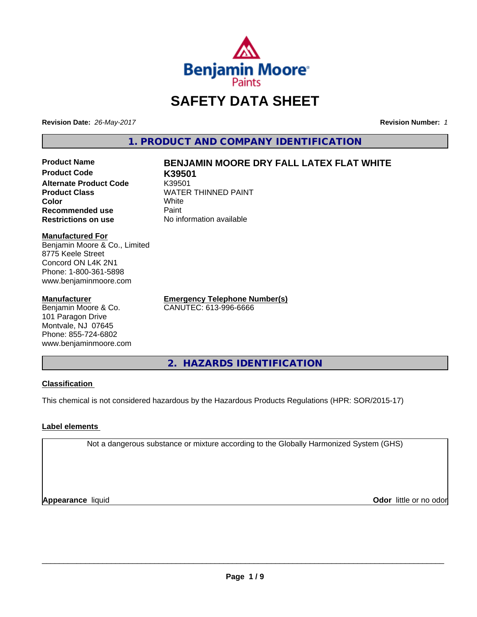

# **SAFETY DATA SHEET**

**Revision Date:** *26-May-2017* **Revision Number:** *1*

**1. PRODUCT AND COMPANY IDENTIFICATION**

**Product Code K39501 Alternate Product Code K39501<br>Product Class Kanadia Kanadia K Color** White White **Recommended use** Paint<br> **Restrictions on use** No inf

## **Product Name BENJAMIN MOORE DRY FALL LATEX FLAT WHITE**

**WATER THINNED PAINT No information available** 

**Manufactured For**

Benjamin Moore & Co., Limited 8775 Keele Street Concord ON L4K 2N1 Phone: 1-800-361-5898 www.benjaminmoore.com

#### **Manufacturer**

Benjamin Moore & Co. 101 Paragon Drive Montvale, NJ 07645 Phone: 855-724-6802 www.benjaminmoore.com

**Emergency Telephone Number(s)** CANUTEC: 613-996-6666

**2. HAZARDS IDENTIFICATION**

## **Classification**

This chemical is not considered hazardous by the Hazardous Products Regulations (HPR: SOR/2015-17)

## **Label elements**

Not a dangerous substance or mixture according to the Globally Harmonized System (GHS)

**Appearance** liquid

**Odor** little or no odor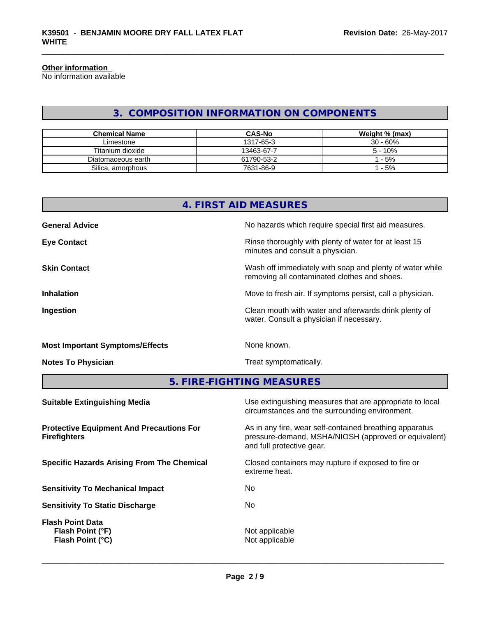#### **Other information**

No information available

## **3. COMPOSITION INFORMATION ON COMPONENTS**

| <b>Chemical Name</b> | <b>CAS-No</b> | Weight % (max) |
|----------------------|---------------|----------------|
| Limestone            | 1317-65-3     | $30 - 60%$     |
| Titanium dioxide     | 13463-67-7    | $5 - 10%$      |
| Diatomaceous earth   | 61790-53-2    | $-5%$          |
| Silica, amorphous    | 7631-86-9     | $-5%$          |

| 4. FIRST AID MEASURES                  |                                                                                                          |  |  |  |
|----------------------------------------|----------------------------------------------------------------------------------------------------------|--|--|--|
| <b>General Advice</b>                  | No hazards which require special first aid measures.                                                     |  |  |  |
| <b>Eye Contact</b>                     | Rinse thoroughly with plenty of water for at least 15<br>minutes and consult a physician.                |  |  |  |
| <b>Skin Contact</b>                    | Wash off immediately with soap and plenty of water while<br>removing all contaminated clothes and shoes. |  |  |  |
| <b>Inhalation</b>                      | Move to fresh air. If symptoms persist, call a physician.                                                |  |  |  |
| Ingestion                              | Clean mouth with water and afterwards drink plenty of<br>water. Consult a physician if necessary.        |  |  |  |
| <b>Most Important Symptoms/Effects</b> | None known.                                                                                              |  |  |  |
| <b>Notes To Physician</b>              | Treat symptomatically.                                                                                   |  |  |  |

**5. FIRE-FIGHTING MEASURES**

| <b>Suitable Extinguishing Media</b>                                    | Use extinguishing measures that are appropriate to local<br>circumstances and the surrounding environment.                                   |
|------------------------------------------------------------------------|----------------------------------------------------------------------------------------------------------------------------------------------|
| <b>Protective Equipment And Precautions For</b><br><b>Firefighters</b> | As in any fire, wear self-contained breathing apparatus<br>pressure-demand, MSHA/NIOSH (approved or equivalent)<br>and full protective gear. |
| <b>Specific Hazards Arising From The Chemical</b>                      | Closed containers may rupture if exposed to fire or<br>extreme heat.                                                                         |
| <b>Sensitivity To Mechanical Impact</b>                                | No                                                                                                                                           |
| <b>Sensitivity To Static Discharge</b>                                 | No.                                                                                                                                          |
| <b>Flash Point Data</b><br>Flash Point (°F)<br>Flash Point (°C)        | Not applicable<br>Not applicable                                                                                                             |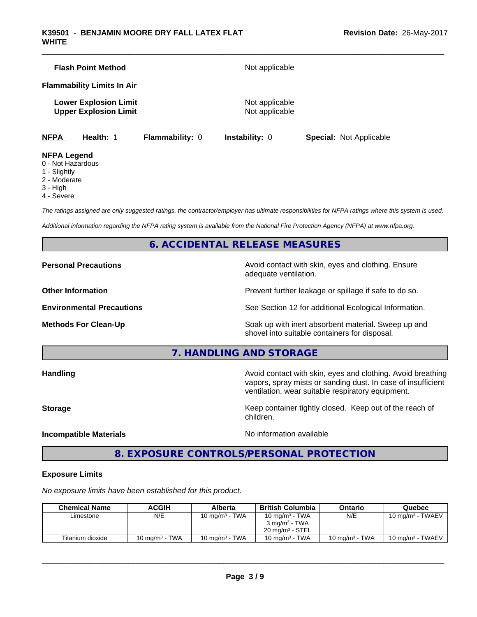| <b>Flash Point Method</b>                                    | Not applicable                   |
|--------------------------------------------------------------|----------------------------------|
| <b>Flammability Limits In Air</b>                            |                                  |
| <b>Lower Explosion Limit</b><br><b>Upper Explosion Limit</b> | Not applicable<br>Not applicable |

**NFPA Health:** 1 **Flammability:** 0 **Instability:** 0 **Special:** Not Applicable

#### **NFPA Legend**

- 0 Not Hazardous
- 1 Slightly
- 2 Moderate
- 3 High
- 4 Severe

*The ratings assigned are only suggested ratings, the contractor/employer has ultimate responsibilities for NFPA ratings where this system is used.*

*Additional information regarding the NFPA rating system is available from the National Fire Protection Agency (NFPA) at www.nfpa.org.*

## **6. ACCIDENTAL RELEASE MEASURES**

**Personal Precautions Avoid contact with skin, eyes and clothing. Ensure** Avoid contact with skin, eyes and clothing. Ensure adequate ventilation.

**Other Information Discription Prevent further leakage or spillage if safe to do so.** 

**Environmental Precautions** See Section 12 for additional Ecological Information.

**Methods For Clean-Up Example 20 All 20 All 20 All 20 Soak** up with inert absorbent material. Sweep up and shovel into suitable containers for disposal.

**7. HANDLING AND STORAGE**

**Handling Handling Avoid contact with skin, eyes and clothing. Avoid breathing** vapors, spray mists or sanding dust. In case of insufficient ventilation, wear suitable respiratory equipment.

**Storage Keep container tightly closed. Keep out of the reach of Keep** container tightly closed. Keep out of the reach of

**Incompatible Materials Incompatible Materials No information available** 

 $\overline{\phantom{a}}$  ,  $\overline{\phantom{a}}$  ,  $\overline{\phantom{a}}$  ,  $\overline{\phantom{a}}$  ,  $\overline{\phantom{a}}$  ,  $\overline{\phantom{a}}$  ,  $\overline{\phantom{a}}$  ,  $\overline{\phantom{a}}$  ,  $\overline{\phantom{a}}$  ,  $\overline{\phantom{a}}$  ,  $\overline{\phantom{a}}$  ,  $\overline{\phantom{a}}$  ,  $\overline{\phantom{a}}$  ,  $\overline{\phantom{a}}$  ,  $\overline{\phantom{a}}$  ,  $\overline{\phantom{a}}$ 

## **8. EXPOSURE CONTROLS/PERSONAL PROTECTION**

children.

#### **Exposure Limits**

*No exposure limits have been established for this product.*

| <b>Chemical Name</b> | ACGIH             | Alberta           | <b>British Columbia</b>    | Ontario           | Quebec                      |
|----------------------|-------------------|-------------------|----------------------------|-------------------|-----------------------------|
| Limestone            | N/E               | 10 mg/m $3$ - TWA | 10 mg/m $3$ - TWA          | N/E               | $10 \text{ mg/m}^3$ - TWAEV |
|                      |                   |                   | $3 \text{ ma/m}^3$ - TWA   |                   |                             |
|                      |                   |                   | $20 \text{ ma/m}^3$ - STEL |                   |                             |
| Titanium dioxide     | 10 mg/m $3$ - TWA | 10 mg/m $3$ - TWA | 10 mg/m $3$ - TWA          | 10 mg/m $3$ - TWA | $10 \text{ mg/m}^3$ - TWAEV |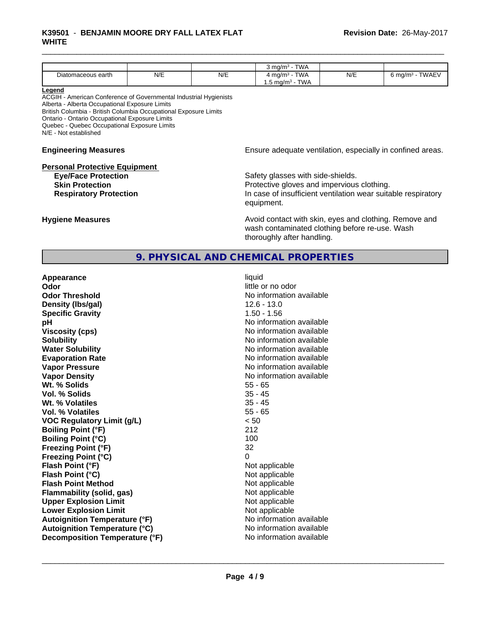#### \_\_\_\_\_\_\_\_\_\_\_\_\_\_\_\_\_\_\_\_\_\_\_\_\_\_\_\_\_\_\_\_\_\_\_\_\_\_\_\_\_\_\_\_\_\_\_\_\_\_\_\_\_\_\_\_\_\_\_\_\_\_\_\_\_\_\_\_\_\_\_\_\_\_\_\_\_\_\_\_\_\_\_\_\_\_\_\_\_\_\_\_\_ **K39501** - **BENJAMIN MOORE DRY FALL LATEX FLAT WHITE**

|                                                |     |     | <b>TWA</b><br>ma/m <sup>3</sup> |     |                                     |
|------------------------------------------------|-----|-----|---------------------------------|-----|-------------------------------------|
| $\overline{\phantom{a}}$<br>Diatomaceous earth | N/E | N/E | <b>TWA</b><br>ma/m <sup>3</sup> | N/E | <b>TWAEV</b><br>o ma/m <sup>3</sup> |
|                                                |     |     | <b>TWA</b><br>$.5 \text{ mq/m}$ |     |                                     |

#### **Legend**

ACGIH - American Conference of Governmental Industrial Hygienists Alberta - Alberta Occupational Exposure Limits British Columbia - British Columbia Occupational Exposure Limits Ontario - Ontario Occupational Exposure Limits Quebec - Quebec Occupational Exposure Limits N/E - Not established

#### **Personal Protective Equipment**

**Engineering Measures Ensure adequate ventilation, especially in confined areas.** 

**Eye/Face Protection Safety glasses with side-shields. Skin Protection Protection Protective gloves and impervious clothing. Respiratory Protection In case of insufficient ventilation wear suitable respiratory** equipment.

**Hygiene Measures Avoid contact with skin, eyes and clothing. Remove and Avoid contact with skin, eyes and clothing. Remove and Avoid contact with skin, eyes and clothing. Remove and** wash contaminated clothing before re-use. Wash thoroughly after handling.

## **9. PHYSICAL AND CHEMICAL PROPERTIES**

**Appearance** liquid **Odor** little or no odor **Odor Threshold**<br> **Density (Ibs/gal)**<br> **Density (Ibs/gal)**<br> **No information available**<br>  $12.6 - 13.0$ **Density (lbs/gal) Specific Gravity** 1.50 - 1.56 **pH pH**  $\blacksquare$ **Viscosity (cps)** No information available **Solubility No information available No information available Water Solubility** No information available **Evaporation Rate No information available No information available Vapor Pressure** No information available in the North American Monte available in the North American available **Vapor Density No information available No information available Wt. % Solids** 55 - 65 **Vol. % Solids** 35 - 45 Wt. % Volatiles **Vol. % Volatiles** 55 - 65 **VOC Regulatory Limit (g/L)** < 50 **Boiling Point (°F)** 212 **Boiling Point (°C)** 100 **Freezing Point (°F)** 32 **Freezing Point (°C)** 0 **Flash Point (°F)** Not applicable **Flash Point (°C)** Not applicable **Flash Point Method** Not applicable **Flammability (solid, gas)** Not applicable **Upper Explosion Limit** Not applicable **Lower Explosion Limit Contract Contract Contract Contract Contract Contract Contract Contract Contract Contract Contract Contract Contract Contract Contract Contract Contract Contract Contract Contract Contract Contract Autoignition Temperature (°F)** No information available **Autoignition Temperature (°C)** No information available **Decomposition Temperature (°F)** No information available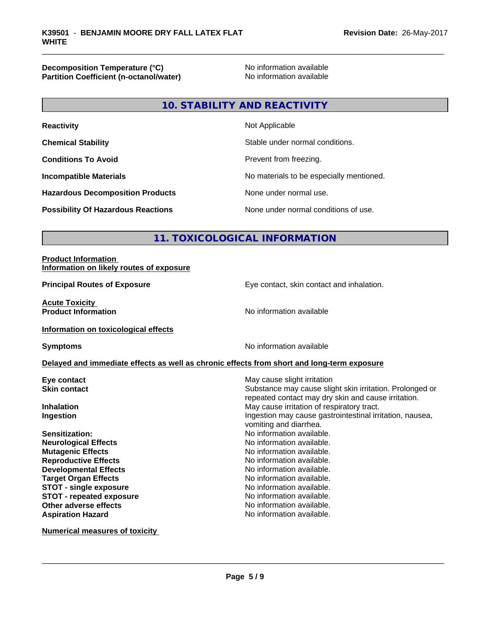**Decomposition Temperature (°C)**<br> **Partition Coefficient (n-octanol/water)** Moinformation available **Partition Coefficient (n-octanol/water)** 

## **10. STABILITY AND REACTIVITY**

| <b>Reactivity</b>                         | Not Applicable                           |
|-------------------------------------------|------------------------------------------|
| <b>Chemical Stability</b>                 | Stable under normal conditions.          |
| <b>Conditions To Avoid</b>                | Prevent from freezing.                   |
| <b>Incompatible Materials</b>             | No materials to be especially mentioned. |
| <b>Hazardous Decomposition Products</b>   | None under normal use.                   |
| <b>Possibility Of Hazardous Reactions</b> | None under normal conditions of use.     |

## **11. TOXICOLOGICAL INFORMATION**

#### **Product Information Information on likely routes of exposure**

**Acute Toxicity<br>Product Information** 

**Principal Routes of Exposure Exposure** Eye contact, skin contact and inhalation.

**No information available** 

## **Information on toxicological effects**

**Symptoms** No information available

#### **Delayed and immediate effects as well as chronic effects from short and long-term exposure**

**Numerical measures of toxicity**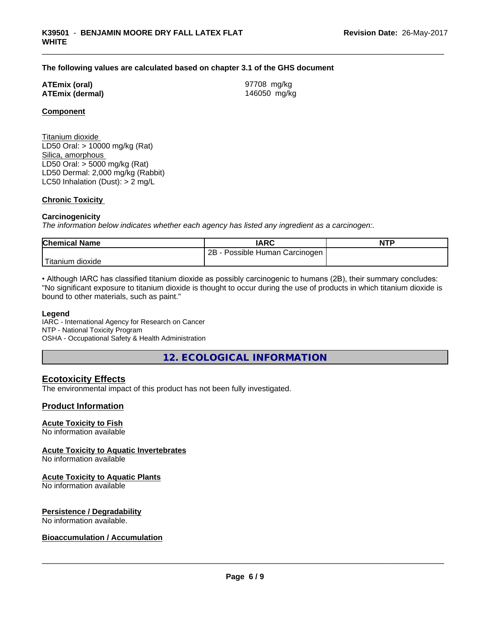#### **The following values are calculated based on chapter 3.1 of the GHS document**

#### **ATEmix (oral)** 97708 mg/kg **ATEmix (dermal)** 146050 mg/kg

### **Component**

Titanium dioxide LD50 Oral: > 10000 mg/kg (Rat) Silica, amorphous LD50 Oral: > 5000 mg/kg (Rat) LD50 Dermal: 2,000 mg/kg (Rabbit) LC50 Inhalation (Dust): > 2 mg/L

#### **Chronic Toxicity**

#### **Carcinogenicity**

*The information below indicateswhether each agency has listed any ingredient as a carcinogen:.*

| <b>Chemical Name</b> | <b>IARC</b>                     | <b>NTP</b> |
|----------------------|---------------------------------|------------|
|                      | 2B<br>Possible Human Carcinogen |            |
| Titanium<br>dioxide  |                                 |            |

• Although IARC has classified titanium dioxide as possibly carcinogenic to humans (2B), their summary concludes: "No significant exposure to titanium dioxide is thought to occur during the use of products in which titanium dioxide is bound to other materials, such as paint."

#### **Legend**

IARC - International Agency for Research on Cancer NTP - National Toxicity Program OSHA - Occupational Safety & Health Administration

**12. ECOLOGICAL INFORMATION**

## **Ecotoxicity Effects**

The environmental impact of this product has not been fully investigated.

#### **Product Information**

## **Acute Toxicity to Fish**

No information available

#### **Acute Toxicity to Aquatic Invertebrates**

No information available

#### **Acute Toxicity to Aquatic Plants**

No information available

#### **Persistence / Degradability**

No information available.

### **Bioaccumulation / Accumulation**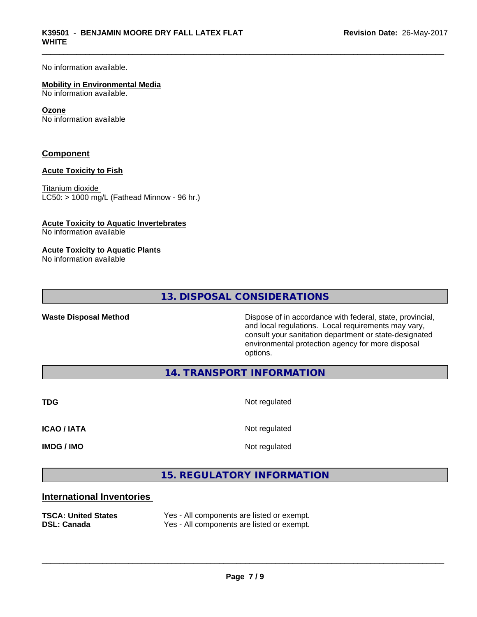No information available.

#### **Mobility in Environmental Media**

No information available.

#### **Ozone**

No information available

### **Component**

#### **Acute Toxicity to Fish**

Titanium dioxide  $LCS0: > 1000$  mg/L (Fathead Minnow - 96 hr.)

#### **Acute Toxicity to Aquatic Invertebrates**

No information available

#### **Acute Toxicity to Aquatic Plants**

No information available

**13. DISPOSAL CONSIDERATIONS**

Waste Disposal Method **Dispose of in accordance with federal, state, provincial,** and local regulations. Local requirements may vary, consult your sanitation department or state-designated environmental protection agency for more disposal options.

**14. TRANSPORT INFORMATION**

**TDG** Not regulated

**ICAO / IATA** Not regulated

**IMDG / IMO** Not regulated

 $\overline{\phantom{a}}$  ,  $\overline{\phantom{a}}$  ,  $\overline{\phantom{a}}$  ,  $\overline{\phantom{a}}$  ,  $\overline{\phantom{a}}$  ,  $\overline{\phantom{a}}$  ,  $\overline{\phantom{a}}$  ,  $\overline{\phantom{a}}$  ,  $\overline{\phantom{a}}$  ,  $\overline{\phantom{a}}$  ,  $\overline{\phantom{a}}$  ,  $\overline{\phantom{a}}$  ,  $\overline{\phantom{a}}$  ,  $\overline{\phantom{a}}$  ,  $\overline{\phantom{a}}$  ,  $\overline{\phantom{a}}$ 

**15. REGULATORY INFORMATION**

## **International Inventories**

**TSCA: United States** Yes - All components are listed or exempt. **DSL: Canada** Yes - All components are listed or exempt.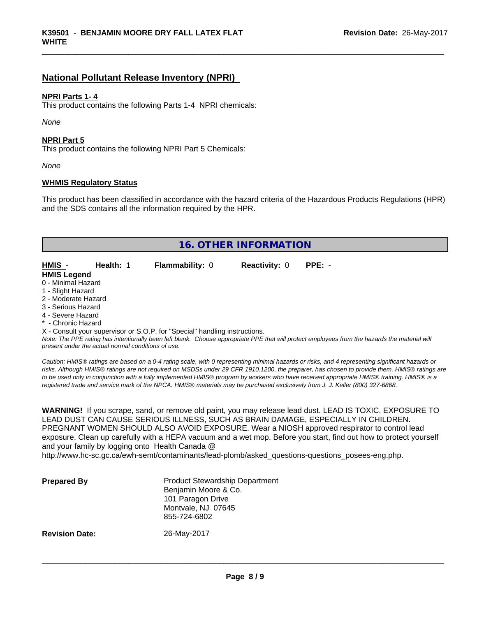## **National Pollutant Release Inventory (NPRI)**

#### **NPRI Parts 1- 4**

This product contains the following Parts 1-4 NPRI chemicals:

*None*

#### **NPRI Part 5**

This product contains the following NPRI Part 5 Chemicals:

*None*

#### **WHMIS Regulatory Status**

This product has been classified in accordance with the hazard criteria of the Hazardous Products Regulations (HPR) and the SDS contains all the information required by the HPR.

|                     | <b>16. OTHER INFORMATION</b> |  |                                                                            |                      |                                                                                                                                               |  |
|---------------------|------------------------------|--|----------------------------------------------------------------------------|----------------------|-----------------------------------------------------------------------------------------------------------------------------------------------|--|
|                     |                              |  |                                                                            |                      |                                                                                                                                               |  |
| HMIS -              | Health: 1                    |  | <b>Flammability: 0</b>                                                     | <b>Reactivity: 0</b> | $PPE: -$                                                                                                                                      |  |
| <b>HMIS Legend</b>  |                              |  |                                                                            |                      |                                                                                                                                               |  |
| 0 - Minimal Hazard  |                              |  |                                                                            |                      |                                                                                                                                               |  |
| 1 - Slight Hazard   |                              |  |                                                                            |                      |                                                                                                                                               |  |
| 2 - Moderate Hazard |                              |  |                                                                            |                      |                                                                                                                                               |  |
| 3 - Serious Hazard  |                              |  |                                                                            |                      |                                                                                                                                               |  |
| 4 - Severe Hazard   |                              |  |                                                                            |                      |                                                                                                                                               |  |
| * - Chronic Hazard  |                              |  |                                                                            |                      |                                                                                                                                               |  |
|                     |                              |  | X - Consult your supervisor or S.O.P. for "Special" handling instructions. |                      |                                                                                                                                               |  |
|                     |                              |  |                                                                            |                      | Note: The DDE rating has intentionally heap loft blank. Choose appropriate DDE that will protect employees from the harardo the motorial will |  |

*Note: The PPE rating has intentionally been left blank. Choose appropriate PPE that will protect employees from the hazards the material will present under the actual normal conditions of use.*

*Caution: HMISÒ ratings are based on a 0-4 rating scale, with 0 representing minimal hazards or risks, and 4 representing significant hazards or risks. Although HMISÒ ratings are not required on MSDSs under 29 CFR 1910.1200, the preparer, has chosen to provide them. HMISÒ ratings are to be used only in conjunction with a fully implemented HMISÒ program by workers who have received appropriate HMISÒ training. HMISÒ is a registered trade and service mark of the NPCA. HMISÒ materials may be purchased exclusively from J. J. Keller (800) 327-6868.*

**WARNING!** If you scrape, sand, or remove old paint, you may release lead dust. LEAD IS TOXIC. EXPOSURE TO LEAD DUST CAN CAUSE SERIOUS ILLNESS, SUCH AS BRAIN DAMAGE, ESPECIALLY IN CHILDREN. PREGNANT WOMEN SHOULD ALSO AVOID EXPOSURE. Wear a NIOSH approved respirator to control lead exposure. Clean up carefully with a HEPA vacuum and a wet mop. Before you start, find out how to protect yourself and your family by logging onto Health Canada @

http://www.hc-sc.gc.ca/ewh-semt/contaminants/lead-plomb/asked\_questions-questions\_posees-eng.php.

| <b>Prepared By</b>    | <b>Product Stewardship Department</b><br>Benjamin Moore & Co.<br>101 Paragon Drive<br>Montvale, NJ 07645<br>855-724-6802 |  |
|-----------------------|--------------------------------------------------------------------------------------------------------------------------|--|
| <b>Revision Date:</b> | 26-May-2017                                                                                                              |  |